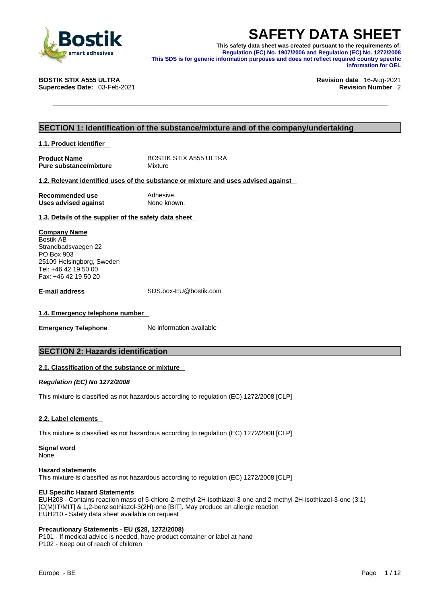

**SAFETY DATA SHEET**<br>
This safety data sheet was created pursuant to the requirements of:<br>
Regulation (EC) No. 1907/2006 and Regulation (EC) No. 1272/2008<br>
This SDS is for generic information purposes and does not reflect r **This safety data sheet was created pursuant to the requirements of: Regulation (EC) No. 1907/2006 and Regulation (EC) No. 1272/2008 This SDS is for generic information purposes and does not reflect required country specific information for OEL** 

**BOSTIK STIX A555 ULTRA Revision date** 16-Aug-2021

**Supercedes Date:** 03-Feb-2021 **Revision Number** 2

# **SECTION 1: Identification of the substance/mixture and of the company/undertaking**

**1.1. Product identifier** 

**Product Name** BOSTIK STIX A555 ULTRA<br> **Pure substance/mixture** Mixture **Pure substance/mixture** 

## **1.2. Relevant identified uses of the substance or mixture and uses advised against**

| Recommended use             | Adhesive.   |
|-----------------------------|-------------|
| <b>Uses advised against</b> | None known. |

**1.3. Details of the supplier of the safety data sheet**

**Company Name** Bostik AB Strandbadsvaegen 22 PO Box 903 25109 Helsingborg, Sweden Tel: +46 42 19 50 00 Fax: +46 42 19 50 20

**E-mail address** SDS.box-EU@bostik.com

# **1.4. Emergency telephone number**

**Emergency Telephone** No information available

# **SECTION 2: Hazards identification**

# **2.1. Classification of the substance or mixture**

*Regulation (EC) No 1272/2008* 

This mixture is classified as not hazardous according to regulation (EC) 1272/2008 [CLP]

# **2.2. Label elements**

This mixture is classified as not hazardous according to regulation (EC) 1272/2008 [CLP]

**Signal word**

None

## **Hazard statements**

This mixture is classified as not hazardous according to regulation (EC) 1272/2008 [CLP]

## **EU Specific Hazard Statements**

EUH208 - Contains reaction mass of 5-chloro-2-methyl-2H-isothiazol-3-one and 2-methyl-2H-isothiazol-3-one (3:1) [C(M)IT/MIT] & 1,2-benzisothiazol-3(2H)-one [BIT]. May produce an allergic reaction EUH210 - Safety data sheet available on request

# **Precautionary Statements - EU (§28, 1272/2008)**

P101 - If medical advice is needed, have product container or label at hand P102 - Keep out of reach of children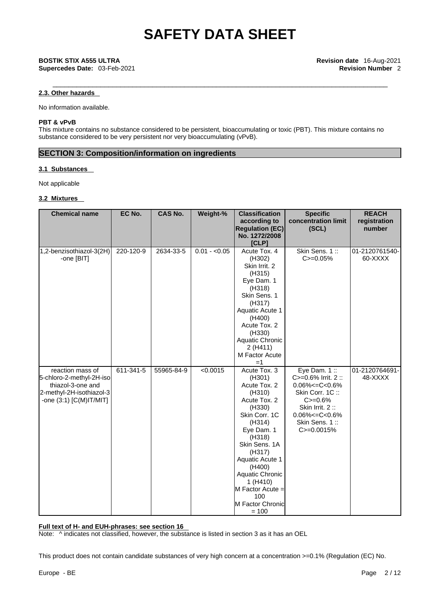# **2.3. Other hazards**

No information available.

# **PBT & vPvB**

This mixture contains no substance considered to be persistent, bioaccumulating or toxic (PBT). This mixture contains no substance considered to be very persistent nor very bioaccumulating (vPvB).

# **SECTION 3: Composition/information on ingredients**

# **3.1 Substances**

Not applicable

## **3.2 Mixtures**

| <b>Chemical name</b>                                                                                                     | EC No.    | <b>CAS No.</b> | Weight-%      | <b>Classification</b><br>according to<br><b>Regulation (EC)</b><br>No. 1272/2008<br>[CLP]                                                                                                                                                                                      | <b>Specific</b><br>concentration limit<br>(SCL)                                                                                                                                | <b>REACH</b><br>registration<br>number |
|--------------------------------------------------------------------------------------------------------------------------|-----------|----------------|---------------|--------------------------------------------------------------------------------------------------------------------------------------------------------------------------------------------------------------------------------------------------------------------------------|--------------------------------------------------------------------------------------------------------------------------------------------------------------------------------|----------------------------------------|
| 1,2-benzisothiazol-3(2H)<br>-one [BIT]                                                                                   | 220-120-9 | 2634-33-5      | $0.01 - 0.05$ | Acute Tox. 4<br>(H302)<br>Skin Irrit. 2<br>(H315)<br>Eye Dam. 1<br>(H318)<br>Skin Sens. 1<br>(H317)<br>Aquatic Acute 1<br>(H400)<br>Acute Tox. 2<br>(H330)<br>Aquatic Chronic<br>2 (H411)<br>M Factor Acute<br>$=1$                                                            | Skin Sens. 1::<br>$C = 0.05%$                                                                                                                                                  | 01-2120761540-<br>60-XXXX              |
| reaction mass of<br>5-chloro-2-methyl-2H-iso<br>thiazol-3-one and<br>2-methyl-2H-isothiazol-3<br>-one (3:1) [C(M)IT/MIT] | 611-341-5 | 55965-84-9     | < 0.0015      | Acute Tox. 3<br>(H301)<br>Acute Tox. 2<br>(H310)<br>Acute Tox. 2<br>(H330)<br>Skin Corr. 1C<br>(H314)<br>Eye Dam. 1<br>(H318)<br>Skin Sens. 1A<br>(H317)<br>Aquatic Acute 1<br>(H400)<br>Aquatic Chronic<br>1 (H410)<br>M Factor Acute =<br>100<br>M Factor Chronic<br>$= 100$ | Eye Dam. $1::$<br>C>=0.6% Irrit. 2 ::<br>$0.06\% < = C < 0.6\%$<br>Skin Corr. 1C:<br>$C = 0.6%$<br>Skin Irrit. 2:<br>$0.06\% < = C < 0.6\%$<br>Skin Sens. 1::<br>$C = 0.0015%$ | 01-2120764691-<br>48-XXXX              |

## **Full text of H- and EUH-phrases: see section 16**

Note: ^ indicates not classified, however, the substance is listed in section 3 as it has an OEL

This product does not contain candidate substances of very high concern at a concentration >=0.1% (Regulation (EC) No.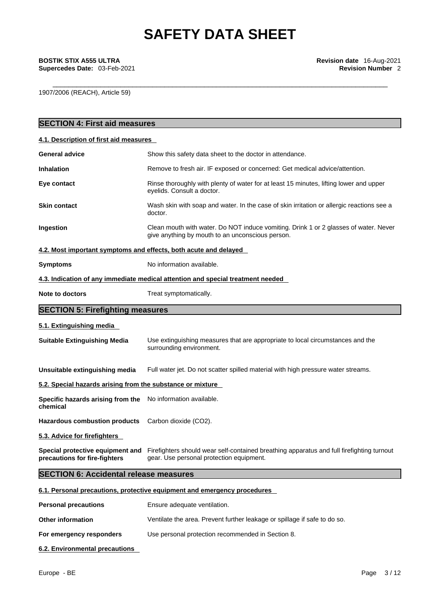# **Supercedes Date: 03-Feb-2021**

1907/2006 (REACH), Article 59)

| <b>SECTION 4: First aid measures</b>                              |                                                                                                                                          |
|-------------------------------------------------------------------|------------------------------------------------------------------------------------------------------------------------------------------|
| 4.1. Description of first aid measures                            |                                                                                                                                          |
| <b>General advice</b>                                             | Show this safety data sheet to the doctor in attendance.                                                                                 |
| <b>Inhalation</b>                                                 | Remove to fresh air. IF exposed or concerned: Get medical advice/attention.                                                              |
| Eye contact                                                       | Rinse thoroughly with plenty of water for at least 15 minutes, lifting lower and upper<br>eyelids. Consult a doctor.                     |
| <b>Skin contact</b>                                               | Wash skin with soap and water. In the case of skin irritation or allergic reactions see a<br>doctor.                                     |
| Ingestion                                                         | Clean mouth with water. Do NOT induce vomiting. Drink 1 or 2 glasses of water. Never<br>give anything by mouth to an unconscious person. |
| 4.2. Most important symptoms and effects, both acute and delayed  |                                                                                                                                          |
| <b>Symptoms</b>                                                   | No information available.                                                                                                                |
|                                                                   | 4.3. Indication of any immediate medical attention and special treatment needed                                                          |
| Note to doctors                                                   | Treat symptomatically.                                                                                                                   |
| <b>SECTION 5: Firefighting measures</b>                           |                                                                                                                                          |
| 5.1. Extinguishing media                                          |                                                                                                                                          |
| <b>Suitable Extinguishing Media</b>                               | Use extinguishing measures that are appropriate to local circumstances and the<br>surrounding environment.                               |
| Unsuitable extinguishing media                                    | Full water jet. Do not scatter spilled material with high pressure water streams.                                                        |
| 5.2. Special hazards arising from the substance or mixture        |                                                                                                                                          |
| Specific hazards arising from the<br>chemical                     | No information available.                                                                                                                |
| <b>Hazardous combustion products</b>                              | Carbon dioxide (CO2).                                                                                                                    |
| 5.3. Advice for firefighters                                      |                                                                                                                                          |
| Special protective equipment and<br>precautions for fire-fighters | Firefighters should wear self-contained breathing apparatus and full firefighting turnout<br>gear. Use personal protection equipment.    |
| <b>SECTION 6: Accidental release measures</b>                     |                                                                                                                                          |
|                                                                   | 6.1. Personal precautions, protective equipment and emergency procedures                                                                 |
| <b>Personal precautions</b>                                       | Ensure adequate ventilation.                                                                                                             |
| <b>Other information</b>                                          | Ventilate the area. Prevent further leakage or spillage if safe to do so.                                                                |
| For emergency responders                                          | Use personal protection recommended in Section 8.                                                                                        |
|                                                                   |                                                                                                                                          |

**6.2. Environmental precautions**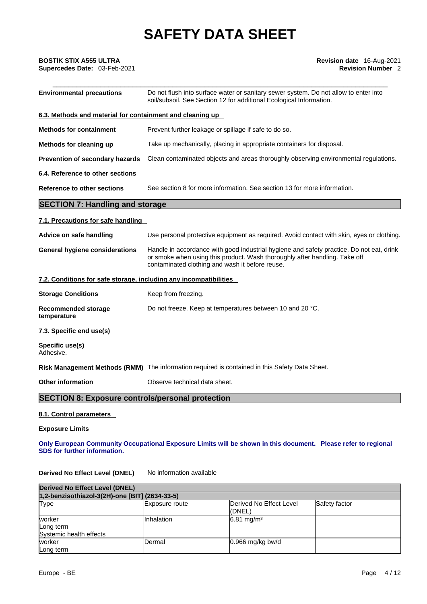| <b>BOSTIK STIX A555 ULTRA</b><br>Supercedes Date: 03-Feb-2021     | <b>Revision date</b> 16-Aug-2021<br><b>Revision Number 2</b>                                                                                                                                                              |  |
|-------------------------------------------------------------------|---------------------------------------------------------------------------------------------------------------------------------------------------------------------------------------------------------------------------|--|
| <b>Environmental precautions</b>                                  | Do not flush into surface water or sanitary sewer system. Do not allow to enter into<br>soil/subsoil. See Section 12 for additional Ecological Information.                                                               |  |
| 6.3. Methods and material for containment and cleaning up         |                                                                                                                                                                                                                           |  |
| <b>Methods for containment</b>                                    | Prevent further leakage or spillage if safe to do so.                                                                                                                                                                     |  |
| Methods for cleaning up                                           | Take up mechanically, placing in appropriate containers for disposal.                                                                                                                                                     |  |
| Prevention of secondary hazards                                   | Clean contaminated objects and areas thoroughly observing environmental regulations.                                                                                                                                      |  |
| 6.4. Reference to other sections                                  |                                                                                                                                                                                                                           |  |
| <b>Reference to other sections</b>                                | See section 8 for more information. See section 13 for more information.                                                                                                                                                  |  |
| <b>SECTION 7: Handling and storage</b>                            |                                                                                                                                                                                                                           |  |
| 7.1. Precautions for safe handling                                |                                                                                                                                                                                                                           |  |
| Advice on safe handling                                           | Use personal protective equipment as required. Avoid contact with skin, eyes or clothing.                                                                                                                                 |  |
| <b>General hygiene considerations</b>                             | Handle in accordance with good industrial hygiene and safety practice. Do not eat, drink<br>or smoke when using this product. Wash thoroughly after handling. Take off<br>contaminated clothing and wash it before reuse. |  |
| 7.2. Conditions for safe storage, including any incompatibilities |                                                                                                                                                                                                                           |  |
| <b>Storage Conditions</b>                                         | Keep from freezing.                                                                                                                                                                                                       |  |
| <b>Recommended storage</b><br>temperature                         | Do not freeze. Keep at temperatures between 10 and 20 °C.                                                                                                                                                                 |  |
| 7.3. Specific end use(s)                                          |                                                                                                                                                                                                                           |  |
| Specific use(s)<br>Adhesive.                                      |                                                                                                                                                                                                                           |  |
|                                                                   | Risk Management Methods (RMM) The information required is contained in this Safety Data Sheet.                                                                                                                            |  |
| <b>Other information</b>                                          | Observe technical data sheet.                                                                                                                                                                                             |  |
| <b>SECTION 8: Exposure controls/personal protection</b>           |                                                                                                                                                                                                                           |  |
| 8.1. Control parameters                                           |                                                                                                                                                                                                                           |  |
| <b>Exposure Limits</b>                                            |                                                                                                                                                                                                                           |  |
| SDS for further information.                                      | Only European Community Occupational Exposure Limits will be shown in this document. Please refer to regional                                                                                                             |  |
| <b>Derived No Effect Level (DNEL)</b>                             | No information available                                                                                                                                                                                                  |  |

| Derived No Effect Level (DNEL)<br>1,2-benzisothiazol-3(2H)-one [BIT] (2634-33-5) |            |                       |             |
|----------------------------------------------------------------------------------|------------|-----------------------|-------------|
|                                                                                  |            |                       | <b>Type</b> |
| worker<br>Long term<br>Systemic health effects                                   | Inhalation | $6.81 \text{ mg/m}^3$ |             |
| worker<br>Long term                                                              | Dermal     | $0.966$ mg/kg bw/d    |             |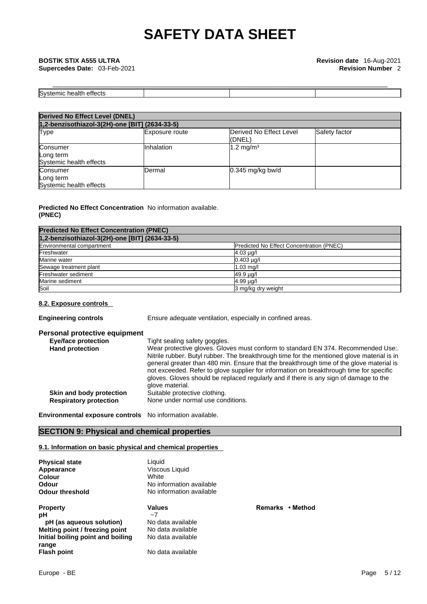| ____                                               |  |  |
|----------------------------------------------------|--|--|
| $\sim$<br>S٧<br>n.<br>аιτ<br><br>ш<br>udtit.<br>-- |  |  |

| <b>Derived No Effect Level (DNEL)</b>            |                       |                                   |               |
|--------------------------------------------------|-----------------------|-----------------------------------|---------------|
| 1,2-benzisothiazol-3(2H)-one [BIT] (2634-33-5)   |                       |                                   |               |
| Type                                             | <b>Exposure route</b> | Derived No Effect Level<br>(DNEL) | Safety factor |
| Consumer<br>Long term<br>Systemic health effects | Inhalation            | $1.2 \text{ mg/m}^3$              |               |
| Consumer<br>Long term<br>Systemic health effects | Dermal                | $0.345$ mg/kg bw/d                |               |

# **Predicted No Effect Concentration** No information available. **(PNEC)**

| <b>Predicted No Effect Concentration (PNEC)</b> |                                          |
|-------------------------------------------------|------------------------------------------|
| 1,2-benzisothiazol-3(2H)-one [BIT] (2634-33-5)  |                                          |
| Environmental compartment                       | Predicted No Effect Concentration (PNEC) |
| Freshwater                                      | $4.03 \mu g/l$                           |
| Marine water                                    | $0.403$ $\mu$ g/l                        |
| Sewage treatment plant                          | $1.03$ mg/                               |
| Freshwater sediment                             | 49.9 µg/l                                |
| Marine sediment                                 | 4.99 µg/l                                |
| Soil                                            | 3 mg/kg dry weight                       |

# **8.2. Exposure controls**

| <b>Engineering controls</b> |  |
|-----------------------------|--|
|-----------------------------|--|

Ensure adequate ventilation, especially in confined areas.

| Personal protective equipment |                                                                                                                                                                                                                                                                                                                                                                                                                                                                                    |
|-------------------------------|------------------------------------------------------------------------------------------------------------------------------------------------------------------------------------------------------------------------------------------------------------------------------------------------------------------------------------------------------------------------------------------------------------------------------------------------------------------------------------|
| <b>Eye/face protection</b>    | Tight sealing safety goggles.                                                                                                                                                                                                                                                                                                                                                                                                                                                      |
| <b>Hand protection</b>        | Wear protective gloves. Gloves must conform to standard EN 374. Recommended Use:.<br>Nitrile rubber. Butyl rubber. The breakthrough time for the mentioned glove material is in<br>general greater than 480 min. Ensure that the breakthrough time of the glove material is<br>not exceeded. Refer to glove supplier for information on breakthrough time for specific<br>gloves. Gloves should be replaced regularly and if there is any sign of damage to the<br>glove material. |
| Skin and body protection      | Suitable protective clothing.                                                                                                                                                                                                                                                                                                                                                                                                                                                      |
| <b>Respiratory protection</b> | None under normal use conditions.                                                                                                                                                                                                                                                                                                                                                                                                                                                  |
|                               |                                                                                                                                                                                                                                                                                                                                                                                                                                                                                    |

**Property Values Remarks • Method**

**Environmental exposure controls** No information available.

# **SECTION 9: Physical and chemical properties**

# **9.1. Information on basic physical and chemical properties**

| <b>Physical state</b>             | Liquid                   |
|-----------------------------------|--------------------------|
| Appearance                        | Viscous Liquid           |
| Colour                            | <b>White</b>             |
| Odour                             | No information available |
| <b>Odour threshold</b>            | No information available |
| <b>Property</b>                   | <b>Values</b>            |
| рH                                | $\sim$ 7                 |
| pH (as aqueous solution)          | No data available        |
| Melting point / freezing point    | No data available        |
| Initial boiling point and boiling | No data available        |
| range<br><b>Flash point</b>       | No data available        |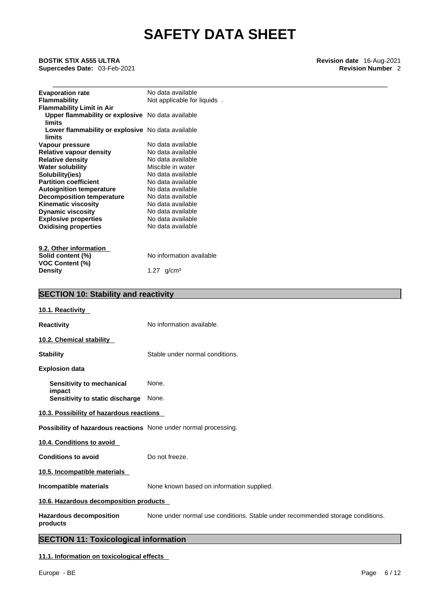\_\_\_\_\_\_\_\_\_\_\_\_\_\_\_\_\_\_\_\_\_\_\_\_\_\_\_\_\_\_\_\_\_\_\_\_\_\_\_\_\_\_\_\_\_\_\_\_\_\_\_\_\_\_\_\_\_\_\_\_\_\_\_\_\_\_\_\_\_\_\_\_\_\_\_\_\_\_\_\_\_\_\_\_ **BOSTIK STIX A555 ULTRA Revision date** 16-Aug-2021 **Supercedes Date: 03-Feb-2021** 

| <b>Evaporation rate</b>                           | No data available           |
|---------------------------------------------------|-----------------------------|
| Flammability                                      | Not applicable for liquids. |
| <b>Flammability Limit in Air</b>                  |                             |
| Upper flammability or explosive No data available |                             |
| limits                                            |                             |
| Lower flammability or explosive No data available |                             |
| limits                                            |                             |
| Vapour pressure                                   | No data available           |
| <b>Relative vapour density</b>                    | No data available           |
| <b>Relative density</b>                           | No data available           |
| <b>Water solubility</b>                           | Miscible in water           |
| Solubility(ies)                                   | No data available           |
| <b>Partition coefficient</b>                      | No data available           |
| <b>Autoignition temperature</b>                   | No data available           |
| <b>Decomposition temperature</b>                  | No data available           |
| <b>Kinematic viscosity</b>                        | No data available           |
| <b>Dynamic viscosity</b>                          | No data available           |
| <b>Explosive properties</b>                       | No data available           |
| <b>Oxidising properties</b>                       | No data available           |
|                                                   |                             |
|                                                   |                             |
| 9.2. Other information                            |                             |
| Solid content (%)                                 | No information available    |
| <b>VOC Content (%)</b>                            |                             |
| Density                                           | 1.27 $q/cm3$                |

|                                                                         | <b>SECTION 10: Stability and reactivity</b>                                    |  |  |  |
|-------------------------------------------------------------------------|--------------------------------------------------------------------------------|--|--|--|
| 10.1. Reactivity                                                        |                                                                                |  |  |  |
| <b>Reactivity</b>                                                       | No information available.                                                      |  |  |  |
| 10.2. Chemical stability                                                |                                                                                |  |  |  |
| <b>Stability</b>                                                        | Stable under normal conditions.                                                |  |  |  |
| <b>Explosion data</b>                                                   |                                                                                |  |  |  |
| Sensitivity to mechanical                                               | None.                                                                          |  |  |  |
| impact<br>Sensitivity to static discharge                               | None.                                                                          |  |  |  |
| 10.3. Possibility of hazardous reactions                                |                                                                                |  |  |  |
| <b>Possibility of hazardous reactions</b> None under normal processing. |                                                                                |  |  |  |
| 10.4. Conditions to avoid                                               |                                                                                |  |  |  |
| <b>Conditions to avoid</b>                                              | Do not freeze.                                                                 |  |  |  |
| 10.5. Incompatible materials                                            |                                                                                |  |  |  |
| Incompatible materials                                                  | None known based on information supplied.                                      |  |  |  |
| 10.6. Hazardous decomposition products                                  |                                                                                |  |  |  |
| <b>Hazardous decomposition</b><br>products                              | None under normal use conditions. Stable under recommended storage conditions. |  |  |  |
| <b>SECTION 11: Toxicological information</b>                            |                                                                                |  |  |  |

# **11.1. Information on toxicological effects**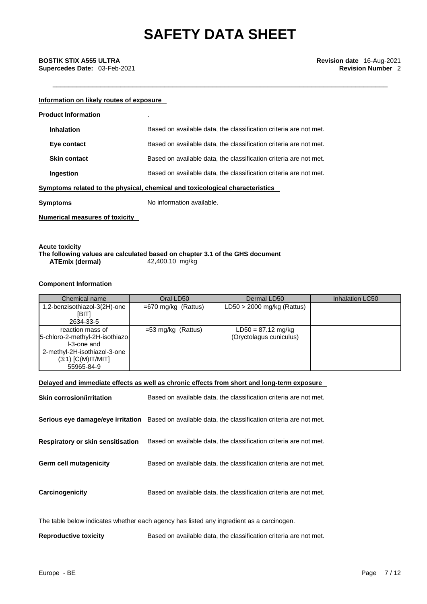# \_\_\_\_\_\_\_\_\_\_\_\_\_\_\_\_\_\_\_\_\_\_\_\_\_\_\_\_\_\_\_\_\_\_\_\_\_\_\_\_\_\_\_\_\_\_\_\_\_\_\_\_\_\_\_\_\_\_\_\_\_\_\_\_\_\_\_\_\_\_\_\_\_\_\_\_\_\_\_\_\_\_\_\_ **BOSTIK STIX A555 ULTRA Revision date** 16-Aug-2021 **Supercedes Date:** 03-Feb-2021 **Revision Number 2 Revision Number 2**

## **Information on likely routes of exposure**

| <b>Product Information</b>                                                   | ٠                                                                 |  |
|------------------------------------------------------------------------------|-------------------------------------------------------------------|--|
| <b>Inhalation</b>                                                            | Based on available data, the classification criteria are not met. |  |
| Eye contact                                                                  | Based on available data, the classification criteria are not met. |  |
| <b>Skin contact</b>                                                          | Based on available data, the classification criteria are not met. |  |
| Ingestion                                                                    | Based on available data, the classification criteria are not met. |  |
| Symptoms related to the physical, chemical and toxicological characteristics |                                                                   |  |
| Symptoms                                                                     | No information available.                                         |  |
|                                                                              |                                                                   |  |

**Numerical measures of toxicity**

## **Acute toxicity The following values are calculated based on chapter 3.1 of the GHS document ATEmix** (dermal)

## **Component Information**

| Chemical name                                                                                                                           | Oral LD50             | Dermal LD50                                     | Inhalation LC50 |
|-----------------------------------------------------------------------------------------------------------------------------------------|-----------------------|-------------------------------------------------|-----------------|
| 1,2-benzisothiazol-3(2H)-one<br>[BIT]<br>2634-33-5                                                                                      | $=670$ mg/kg (Rattus) | $LD50 > 2000$ mg/kg (Rattus)                    |                 |
| reaction mass of<br>5-chloro-2-methyl-2H-isothiazo<br>I-3-one and<br>2-methyl-2H-isothiazol-3-one<br>$(3:1)$ [C(M)IT/MIT]<br>55965-84-9 | =53 mg/kg (Rattus)    | $LD50 = 87.12$ mg/kg<br>(Oryctolagus cuniculus) |                 |

## **Delayed and immediate effects as well as chronic effects from short and long-term exposure**

| <b>Skin corrosion/irritation</b>         | Based on available data, the classification criteria are not met.                                   |
|------------------------------------------|-----------------------------------------------------------------------------------------------------|
|                                          | Serious eye damage/eye irritation Based on available data, the classification criteria are not met. |
| <b>Respiratory or skin sensitisation</b> | Based on available data, the classification criteria are not met.                                   |
| Germ cell mutagenicity                   | Based on available data, the classification criteria are not met.                                   |
| Carcinogenicity                          | Based on available data, the classification criteria are not met.                                   |
|                                          | The table helow indicates whether each agency has listed any ingredient as a carcinogen             |

The table below indicates whether each agency has listed any ingredient as a carcinogen.

**Reproductive toxicity** Based on available data, the classification criteria are not met.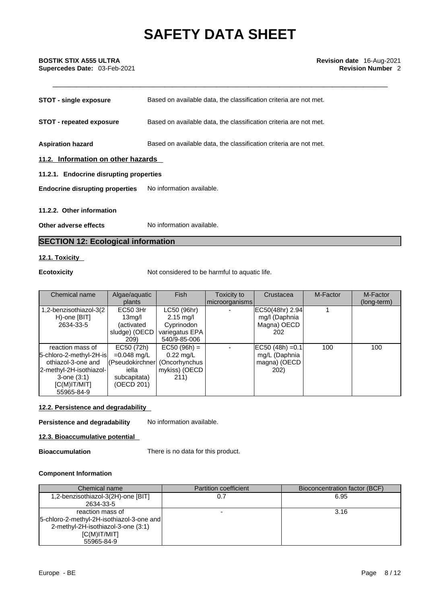| <b>STOT - single exposure</b>           | Based on available data, the classification criteria are not met. |  |  |
|-----------------------------------------|-------------------------------------------------------------------|--|--|
| <b>STOT - repeated exposure</b>         | Based on available data, the classification criteria are not met. |  |  |
| <b>Aspiration hazard</b>                | Based on available data, the classification criteria are not met. |  |  |
| 11.2. Information on other hazards      |                                                                   |  |  |
| 11.2.1. Endocrine disrupting properties |                                                                   |  |  |
| <b>Endocrine disrupting properties</b>  | No information available.                                         |  |  |
| 11.2.2. Other information               |                                                                   |  |  |
|                                         |                                                                   |  |  |
| Other adverse effects                   | No information available.                                         |  |  |

# **SECTION 12: Ecological information**

# **12.1. Toxicity**

**Ecotoxicity Not considered to be harmful to aquatic life.** 

| Chemical name                                                                                                                                     | Algae/aquatic<br>plants                                                                | <b>Fish</b>                                                                        | Toxicity to<br>microorganisms | Crustacea                                                             | M-Factor | M-Factor<br>(long-term) |
|---------------------------------------------------------------------------------------------------------------------------------------------------|----------------------------------------------------------------------------------------|------------------------------------------------------------------------------------|-------------------------------|-----------------------------------------------------------------------|----------|-------------------------|
| 1,2-benzisothiazol-3(2<br>H)-one [BIT]<br>2634-33-5                                                                                               | EC50 3Hr<br>13 <sub>mq</sub> /l<br>(activated<br>sludge) (OECD<br>209)                 | LC50 (96hr)<br>$2.15 \text{ mg/l}$<br>Cyprinodon<br>variegatus EPA<br>540/9-85-006 |                               | EC50(48hr) 2.94<br>mg/l (Daphnia<br>Magna) OECD<br>202                |          |                         |
| reaction mass of<br>5-chloro-2-methyl-2H-is<br>othiazol-3-one and<br>2-methyl-2H-isothiazol-<br>$3$ -one $(3:1)$<br>$[C(M)$ IT/MIT]<br>55965-84-9 | EC50 (72h)<br>$=0.048$ mg/L<br>(Pseudokirchner)<br>iella<br>subcapitata)<br>(OECD 201) | $EC50 (96h) =$<br>$0.22$ mg/L<br>(Oncorhynchus<br>mykiss) (OECD<br>211)            |                               | $ EC50 (48h) = 0.1 $<br>mg/L (Daphnia<br>magna) (OECD<br><b>202</b> ) | 100      | 100                     |

# **12.2. Persistence and degradability**

**Persistence and degradability** No information available.

**12.3. Bioaccumulative potential** 

**Bioaccumulation** There is no data for this product.

# **Component Information**

| Chemical name                               | <b>Partition coefficient</b> | Bioconcentration factor (BCF) |
|---------------------------------------------|------------------------------|-------------------------------|
| 1,2-benzisothiazol-3(2H)-one [BIT]          |                              | 6.95                          |
| 2634-33-5                                   |                              |                               |
| reaction mass of                            |                              | 3.16                          |
| [5-chloro-2-methyl-2H-isothiazol-3-one and] |                              |                               |
| 2-methyl-2H-isothiazol-3-one (3:1)          |                              |                               |
| IC(M)IT/MIT                                 |                              |                               |
| 55965-84-9                                  |                              |                               |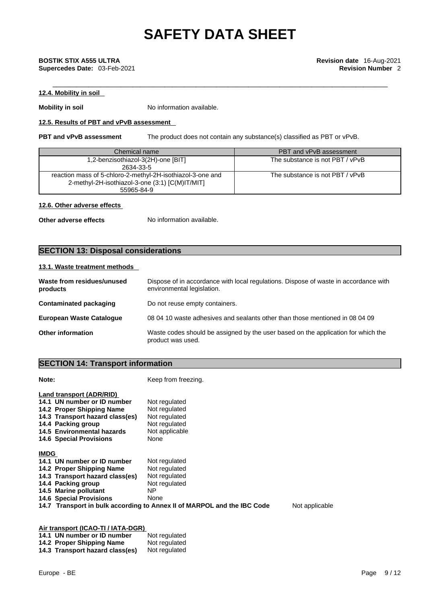# \_\_\_\_\_\_\_\_\_\_\_\_\_\_\_\_\_\_\_\_\_\_\_\_\_\_\_\_\_\_\_\_\_\_\_\_\_\_\_\_\_\_\_\_\_\_\_\_\_\_\_\_\_\_\_\_\_\_\_\_\_\_\_\_\_\_\_\_\_\_\_\_\_\_\_\_\_\_\_\_\_\_\_\_ **BOSTIK STIX A555 ULTRA Revision date** 16-Aug-2021 **Supercedes Date:** 03-Feb-2021 **Revision Number 2 Revision Number 2**

# **12.4. Mobility in soil**

**Mobility in soil** No information available.

# **12.5. Results of PBT and vPvB assessment**

**PBT and vPvB assessment** The product does not contain any substance(s) classified as PBT or vPvB.

| Chemical name                                              | PBT and vPvB assessment         |
|------------------------------------------------------------|---------------------------------|
| 1,2-benzisothiazol-3(2H)-one [BIT]                         | The substance is not PBT / vPvB |
| 2634-33-5                                                  |                                 |
| reaction mass of 5-chloro-2-methyl-2H-isothiazol-3-one and | The substance is not PBT / vPvB |
| 2-methyl-2H-isothiazol-3-one (3:1) [C(M)IT/MIT]            |                                 |
| 55965-84-9                                                 |                                 |

## **12.6. Other adverse effects**

**Other adverse effects** No information available.

# **SECTION 13: Disposal considerations**

# **13.1. Waste treatment methods**

| Waste from residues/unused<br>products | Dispose of in accordance with local regulations. Dispose of waste in accordance with<br>environmental legislation. |
|----------------------------------------|--------------------------------------------------------------------------------------------------------------------|
| Contaminated packaging                 | Do not reuse empty containers.                                                                                     |
| <b>European Waste Cataloque</b>        | 08 04 10 waste adhesives and sealants other than those mentioned in 08 04 09                                       |
| <b>Other information</b>               | Waste codes should be assigned by the user based on the application for which the<br>product was used.             |

# **SECTION 14: Transport information**

| Note:                                                                                                                                                                                                         | Keep from freezing.                                                                        |                |
|---------------------------------------------------------------------------------------------------------------------------------------------------------------------------------------------------------------|--------------------------------------------------------------------------------------------|----------------|
| Land transport (ADR/RID)<br>14.1 UN number or ID number<br>14.2 Proper Shipping Name<br>14.3 Transport hazard class(es)<br>14.4 Packing group<br>14.5 Environmental hazards<br><b>14.6 Special Provisions</b> | Not regulated<br>Not regulated<br>Not regulated<br>Not regulated<br>Not applicable<br>None |                |
| <b>IMDG</b>                                                                                                                                                                                                   |                                                                                            |                |
| 14.1 UN number or ID number                                                                                                                                                                                   | Not regulated                                                                              |                |
| 14.2 Proper Shipping Name                                                                                                                                                                                     | Not regulated                                                                              |                |
| 14.3 Transport hazard class(es)                                                                                                                                                                               | Not regulated                                                                              |                |
| 14.4 Packing group                                                                                                                                                                                            | Not regulated                                                                              |                |
| 14.5 Marine pollutant                                                                                                                                                                                         | NP.                                                                                        |                |
| <b>14.6 Special Provisions</b>                                                                                                                                                                                | None                                                                                       |                |
|                                                                                                                                                                                                               | 14.7 Transport in bulk according to Annex II of MARPOL and the IBC Code                    | Not applicable |

| Air transport (ICAO-TI / IATA-DGR) |                                 |               |  |  |
|------------------------------------|---------------------------------|---------------|--|--|
|                                    | 14.1 UN number or ID number     | Not regulated |  |  |
|                                    | 14.2 Proper Shipping Name       | Not regulated |  |  |
|                                    | 14.3 Transport hazard class(es) | Not regulated |  |  |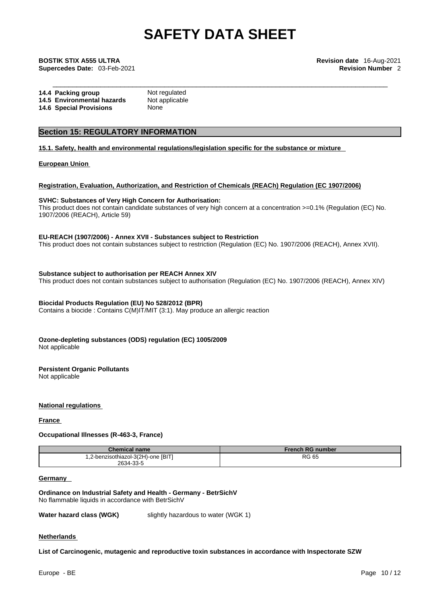\_\_\_\_\_\_\_\_\_\_\_\_\_\_\_\_\_\_\_\_\_\_\_\_\_\_\_\_\_\_\_\_\_\_\_\_\_\_\_\_\_\_\_\_\_\_\_\_\_\_\_\_\_\_\_\_\_\_\_\_\_\_\_\_\_\_\_\_\_\_\_\_\_\_\_\_\_\_\_\_\_\_\_\_ **BOSTIK STIX A555 ULTRA Revision date** 16-Aug-2021 **Supercedes Date:** 03-Feb-2021 **Revision Number** 2

| 14.4 Packing group             | Not regulated  |
|--------------------------------|----------------|
| 14.5 Environmental hazards     | Not applicable |
| <b>14.6 Special Provisions</b> | None           |

# **Section 15: REGULATORY INFORMATION**

**15.1. Safety, health and environmental regulations/legislation specific for the substance or mixture**

**European Union** 

## **Registration, Evaluation, Authorization, and Restriction of Chemicals (REACh) Regulation (EC 1907/2006)**

### **SVHC: Substances of Very High Concern for Authorisation:**

This product does not contain candidate substances of very high concern at a concentration >=0.1% (Regulation (EC) No. 1907/2006 (REACH), Article 59)

#### **EU-REACH (1907/2006) - Annex XVII - Substances subject to Restriction**

This product does not contain substances subject to restriction (Regulation (EC) No. 1907/2006 (REACH), Annex XVII).

**Substance subject to authorisation per REACH Annex XIV**

This product does not contain substances subject to authorisation (Regulation (EC) No. 1907/2006 (REACH), Annex XIV)

# **Biocidal Products Regulation (EU) No 528/2012 (BPR)**

Contains a biocide : Contains C(M)IT/MIT (3:1). May produce an allergic reaction

# **Ozone-depleting substances (ODS) regulation (EC) 1005/2009**

Not applicable

### **Persistent Organic Pollutants**

Not applicable

### **National regulations**

**France** 

# **Occupational Illnesses (R-463-3, France)**

| Chemical name                      | <b>French RG number</b> |
|------------------------------------|-------------------------|
| 1,2-benzisothiazol-3(2H)-one [BIT] | <b>RG 65</b>            |
| 2634-33-5                          |                         |

### **Germany**

**Ordinance on Industrial Safety and Health - Germany - BetrSichV** No flammable liquids in accordance with BetrSichV

**Water hazard class (WGK)** slightly hazardous to water (WGK 1)

**Netherlands** 

**List of Carcinogenic, mutagenic and reproductive toxin substances in accordance with Inspectorate SZW**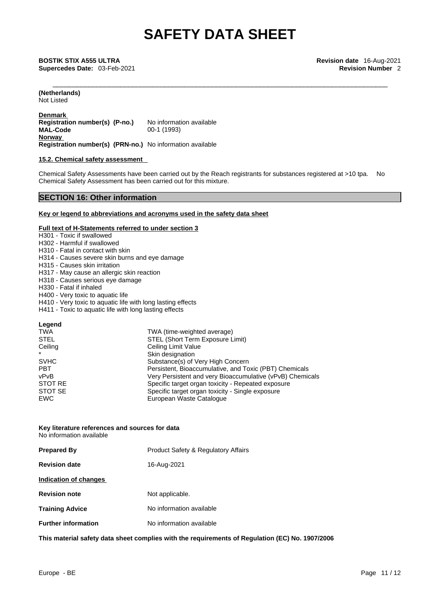\_\_\_\_\_\_\_\_\_\_\_\_\_\_\_\_\_\_\_\_\_\_\_\_\_\_\_\_\_\_\_\_\_\_\_\_\_\_\_\_\_\_\_\_\_\_\_\_\_\_\_\_\_\_\_\_\_\_\_\_\_\_\_\_\_\_\_\_\_\_\_\_\_\_\_\_\_\_\_\_\_\_\_\_ **BOSTIK STIX A555 ULTRA Revision date** 16-Aug-2021 **Supercedes Date:** 03-Feb-2021 **Revision Number** 2

**(Netherlands)** Not Listed

**Denmark Registration number(s) (P-no.)** No information available<br>MAL-Code 00-1 (1993) **MAL-Code** 00-1 (1993) **Norway Registration number(s) (PRN-no.)** No information available

### **15.2. Chemical safety assessment**

Chemical Safety Assessments have been carried out by the Reach registrants for substances registered at >10 tpa. No Chemical Safety Assessment has been carried out for this mixture.

# **SECTION 16: Other information**

### **Key or legend to abbreviations and acronyms used in the safety data sheet**

## **Full text of H-Statements referred to under section 3**

| H301 - Toxic if swallowed                                   |                                                           |  |
|-------------------------------------------------------------|-----------------------------------------------------------|--|
| H302 - Harmful if swallowed                                 |                                                           |  |
| H <sub>310</sub> - Fatal in contact with skin               |                                                           |  |
| H314 - Causes severe skin burns and eye damage              |                                                           |  |
| H315 - Causes skin irritation                               |                                                           |  |
| H317 - May cause an allergic skin reaction                  |                                                           |  |
| H318 - Causes serious eye damage                            |                                                           |  |
| H330 - Fatal if inhaled                                     |                                                           |  |
| H400 - Very toxic to aquatic life                           |                                                           |  |
| H410 - Very toxic to aquatic life with long lasting effects |                                                           |  |
| H411 - Toxic to aquatic life with long lasting effects      |                                                           |  |
|                                                             |                                                           |  |
| Legend                                                      |                                                           |  |
| TWA                                                         | TWA (time-weighted average)                               |  |
| <b>STEL</b>                                                 | <b>STEL (Short Term Exposure Limit)</b>                   |  |
| Ceiling                                                     | Ceiling Limit Value                                       |  |
|                                                             | Skin designation                                          |  |
| <b>SVHC</b>                                                 | Substance(s) of Very High Concern                         |  |
| <b>PBT</b>                                                  | Persistent, Bioaccumulative, and Toxic (PBT) Chemicals    |  |
| vPvB                                                        | Very Persistent and very Bioaccumulative (vPvB) Chemicals |  |
| <b>STOT RE</b>                                              | Specific target organ toxicity - Repeated exposure        |  |
| STOT SE                                                     | Specific target organ toxicity - Single exposure          |  |
| <b>EWC</b>                                                  | European Waste Catalogue                                  |  |
|                                                             |                                                           |  |

#### **Key literature references and sources for data** No information available

| <b>Prepared By</b>         | <b>Product Safety &amp; Regulatory Affairs</b> |
|----------------------------|------------------------------------------------|
| <b>Revision date</b>       | 16-Aug-2021                                    |
| Indication of changes      |                                                |
| <b>Revision note</b>       | Not applicable.                                |
| <b>Training Advice</b>     | No information available                       |
| <b>Further information</b> | No information available                       |
|                            |                                                |

**This material safety data sheet complies with the requirements of Regulation (EC) No. 1907/2006**